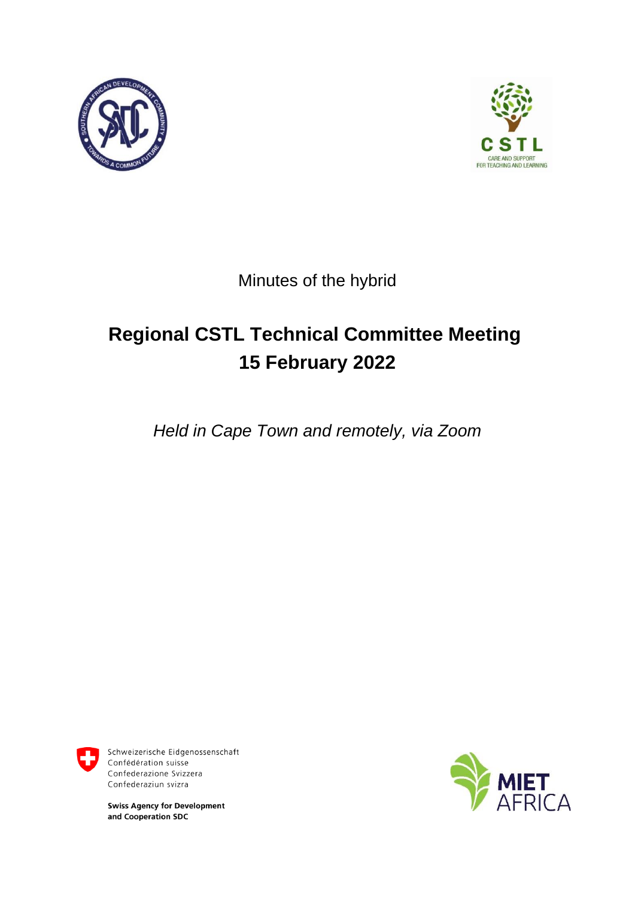



Minutes of the hybrid

# **Regional CSTL Technical Committee Meeting 15 February 2022**

*Held in Cape Town and remotely, via Zoom*



Schweizerische Eidgenossenschaft Confédération suisse Confederazione Svizzera Confederaziun svizra

**Swiss Agency for Development** and Cooperation SDC

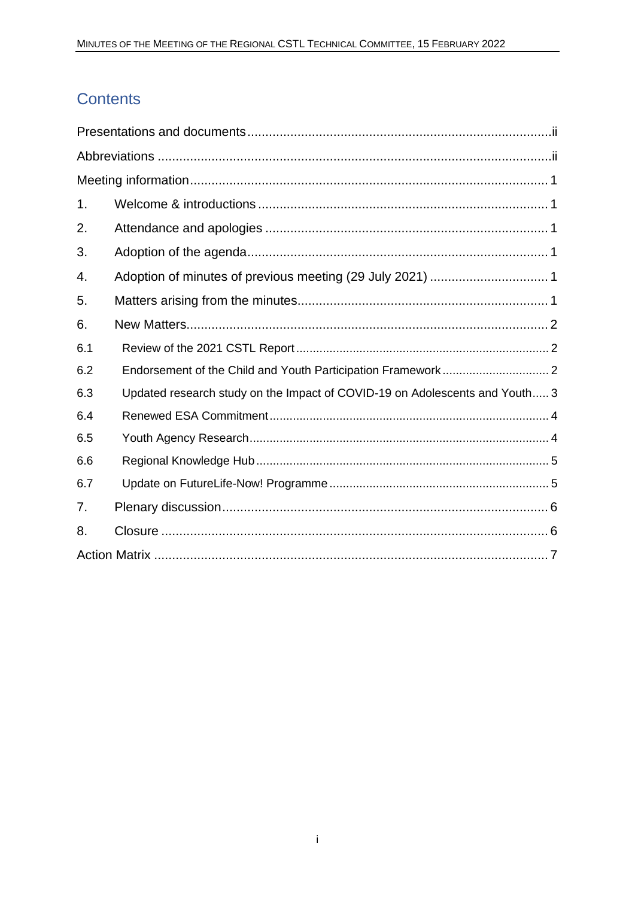# Contents

| 1.  |                                                                             |  |  |
|-----|-----------------------------------------------------------------------------|--|--|
| 2.  |                                                                             |  |  |
| 3.  |                                                                             |  |  |
| 4.  |                                                                             |  |  |
| 5.  |                                                                             |  |  |
| 6.  |                                                                             |  |  |
| 6.1 |                                                                             |  |  |
| 6.2 |                                                                             |  |  |
| 6.3 | Updated research study on the Impact of COVID-19 on Adolescents and Youth 3 |  |  |
| 6.4 |                                                                             |  |  |
| 6.5 |                                                                             |  |  |
| 6.6 |                                                                             |  |  |
| 6.7 |                                                                             |  |  |
| 7.  |                                                                             |  |  |
| 8.  |                                                                             |  |  |
|     |                                                                             |  |  |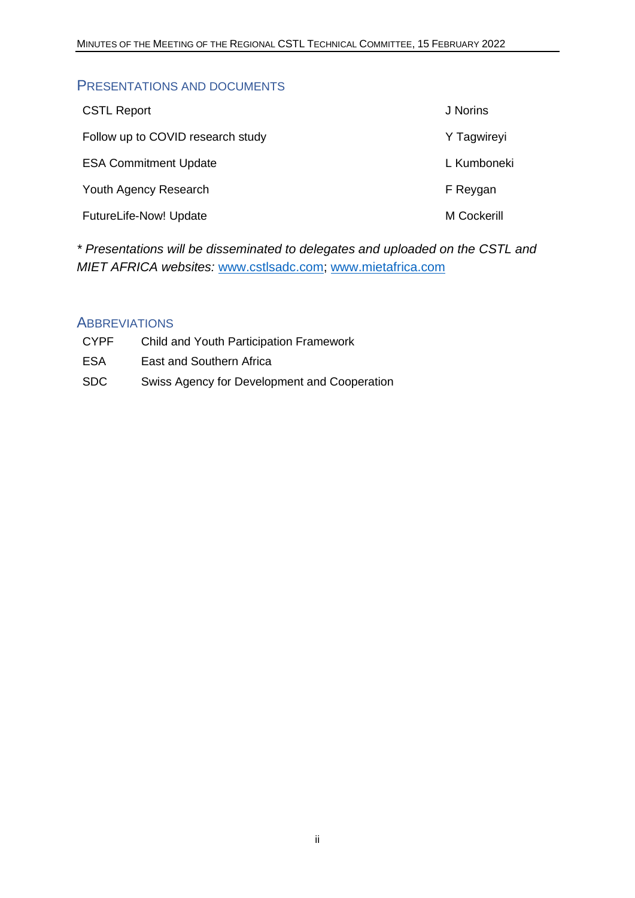#### <span id="page-2-0"></span>PRESENTATIONS AND DOCUMENTS

| <b>CSTL Report</b>                | J Norins    |
|-----------------------------------|-------------|
| Follow up to COVID research study | Y Tagwireyi |
| <b>ESA Commitment Update</b>      | L Kumboneki |
| Youth Agency Research             | F Reygan    |
| <b>FutureLife-Now! Update</b>     | M Cockerill |

*\* Presentations will be disseminated to delegates and uploaded on the CSTL and MIET AFRICA websites:* [www.cstlsadc.com;](http://www.cstlsadc.com/) [www.mietafrica.com](http://www.mietafrica.com/)

#### <span id="page-2-1"></span>**ABBREVIATIONS**

| <b>CYPF</b> | <b>Child and Youth Participation Framework</b> |
|-------------|------------------------------------------------|
| ESA         | East and Southern Africa                       |
| SDC.        | Swiss Agency for Development and Cooperation   |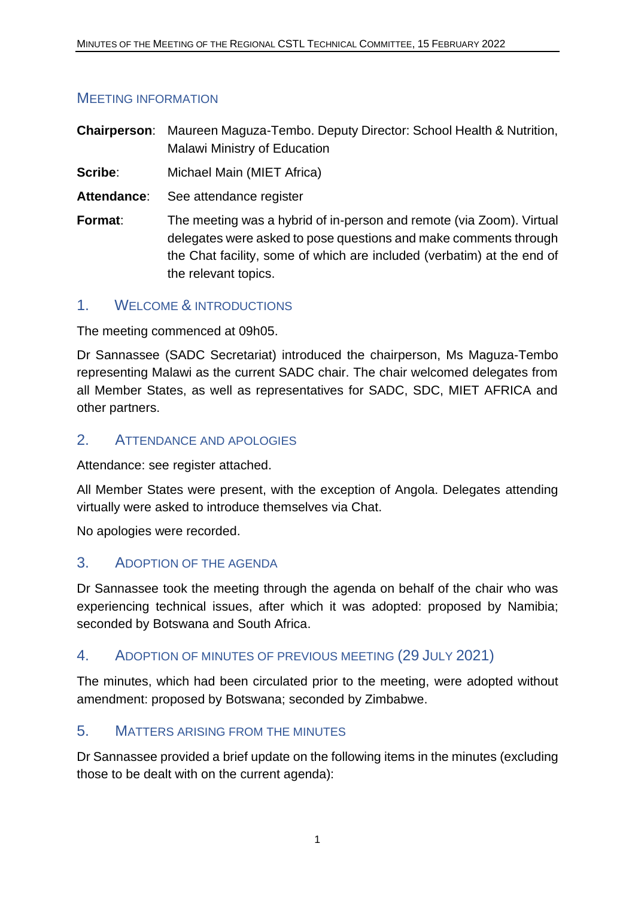#### <span id="page-3-0"></span>MEETING INFORMATION

**Chairperson**: Maureen Maguza-Tembo. Deputy Director: School Health & Nutrition, Malawi Ministry of Education

**Scribe:** Michael Main (MIET Africa)

**Attendance**: See attendance register

**Format:** The meeting was a hybrid of in-person and remote (via Zoom). Virtual delegates were asked to pose questions and make comments through the Chat facility, some of which are included (verbatim) at the end of the relevant topics.

#### <span id="page-3-1"></span>1. WELCOME & INTRODUCTIONS

The meeting commenced at 09h05.

Dr Sannassee (SADC Secretariat) introduced the chairperson, Ms Maguza-Tembo representing Malawi as the current SADC chair. The chair welcomed delegates from all Member States, as well as representatives for SADC, SDC, MIET AFRICA and other partners.

#### <span id="page-3-2"></span>2. ATTENDANCE AND APOLOGIES

Attendance: see register attached.

All Member States were present, with the exception of Angola. Delegates attending virtually were asked to introduce themselves via Chat.

No apologies were recorded.

#### <span id="page-3-3"></span>3. ADOPTION OF THE AGENDA

Dr Sannassee took the meeting through the agenda on behalf of the chair who was experiencing technical issues, after which it was adopted: proposed by Namibia; seconded by Botswana and South Africa.

#### <span id="page-3-4"></span>4. ADOPTION OF MINUTES OF PREVIOUS MEETING (29 JULY 2021)

The minutes, which had been circulated prior to the meeting, were adopted without amendment: proposed by Botswana; seconded by Zimbabwe.

#### <span id="page-3-5"></span>5. MATTERS ARISING FROM THE MINUTES

Dr Sannassee provided a brief update on the following items in the minutes (excluding those to be dealt with on the current agenda):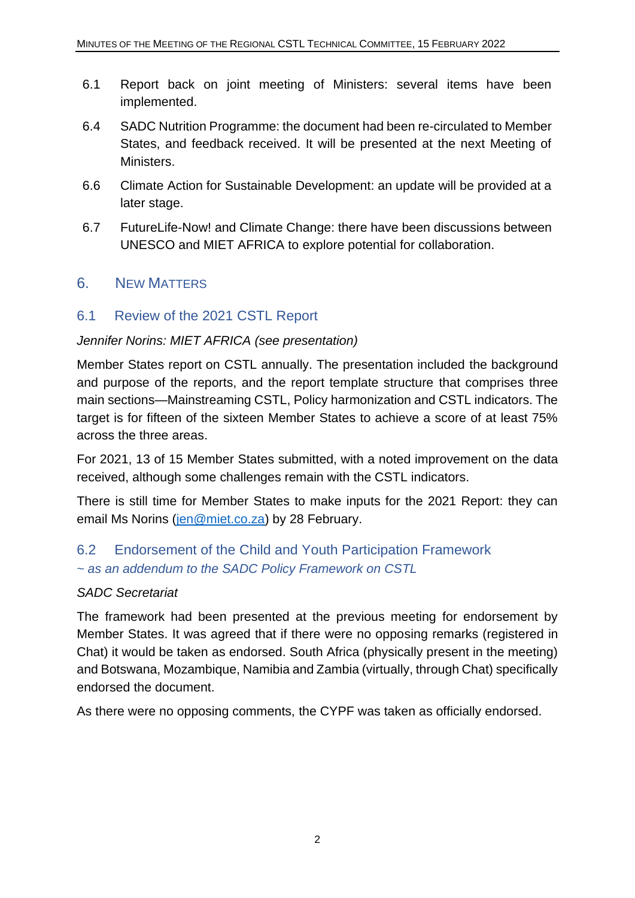- 6.1 Report back on joint meeting of Ministers: several items have been implemented.
- 6.4 SADC Nutrition Programme: the document had been re-circulated to Member States, and feedback received. It will be presented at the next Meeting of Ministers.
- 6.6 Climate Action for Sustainable Development: an update will be provided at a later stage.
- 6.7 FutureLife-Now! and Climate Change: there have been discussions between UNESCO and MIET AFRICA to explore potential for collaboration.

#### <span id="page-4-0"></span>6. NEW MATTERS

#### <span id="page-4-1"></span>6.1 Review of the 2021 CSTL Report

#### *Jennifer Norins: MIET AFRICA (see presentation)*

Member States report on CSTL annually. The presentation included the background and purpose of the reports, and the report template structure that comprises three main sections—Mainstreaming CSTL, Policy harmonization and CSTL indicators. The target is for fifteen of the sixteen Member States to achieve a score of at least 75% across the three areas.

For 2021, 13 of 15 Member States submitted, with a noted improvement on the data received, although some challenges remain with the CSTL indicators.

There is still time for Member States to make inputs for the 2021 Report: they can email Ms Norins [\(jen@miet.co.za\)](mailto:jen@miet.co.za) by 28 February.

## <span id="page-4-2"></span>6.2 Endorsement of the Child and Youth Participation Framework *~ as an addendum to the SADC Policy Framework on CSTL*

#### *SADC Secretariat*

The framework had been presented at the previous meeting for endorsement by Member States. It was agreed that if there were no opposing remarks (registered in Chat) it would be taken as endorsed. South Africa (physically present in the meeting) and Botswana, Mozambique, Namibia and Zambia (virtually, through Chat) specifically endorsed the document.

As there were no opposing comments, the CYPF was taken as officially endorsed.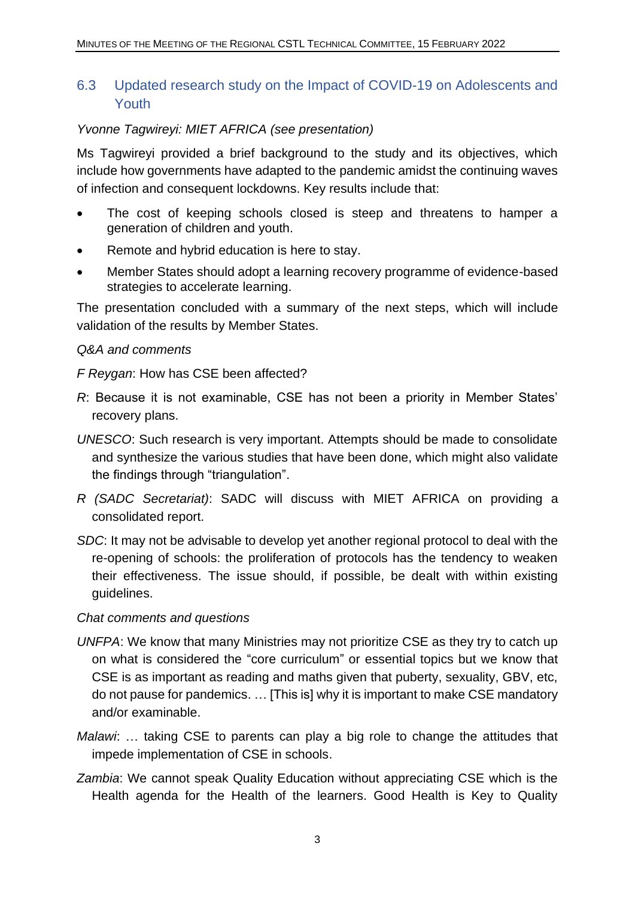### <span id="page-5-0"></span>6.3 Updated research study on the Impact of COVID-19 on Adolescents and Youth

#### *Yvonne Tagwireyi: MIET AFRICA (see presentation)*

Ms Tagwireyi provided a brief background to the study and its objectives, which include how governments have adapted to the pandemic amidst the continuing waves of infection and consequent lockdowns. Key results include that:

- The cost of keeping schools closed is steep and threatens to hamper a generation of children and youth.
- Remote and hybrid education is here to stay.
- Member States should adopt a learning recovery programme of evidence-based strategies to accelerate learning.

The presentation concluded with a summary of the next steps, which will include validation of the results by Member States.

#### *Q&A and comments*

*F Reygan*: How has CSE been affected?

- *R*: Because it is not examinable, CSE has not been a priority in Member States' recovery plans.
- *UNESCO*: Such research is very important. Attempts should be made to consolidate and synthesize the various studies that have been done, which might also validate the findings through "triangulation".
- *R (SADC Secretariat)*: SADC will discuss with MIET AFRICA on providing a consolidated report.
- *SDC*: It may not be advisable to develop yet another regional protocol to deal with the re-opening of schools: the proliferation of protocols has the tendency to weaken their effectiveness. The issue should, if possible, be dealt with within existing guidelines.

#### *Chat comments and questions*

- *UNFPA*: We know that many Ministries may not prioritize CSE as they try to catch up on what is considered the "core curriculum" or essential topics but we know that CSE is as important as reading and maths given that puberty, sexuality, GBV, etc, do not pause for pandemics. … [This is] why it is important to make CSE mandatory and/or examinable.
- *Malawi*: … taking CSE to parents can play a big role to change the attitudes that impede implementation of CSE in schools.
- *Zambia*: We cannot speak Quality Education without appreciating CSE which is the Health agenda for the Health of the learners. Good Health is Key to Quality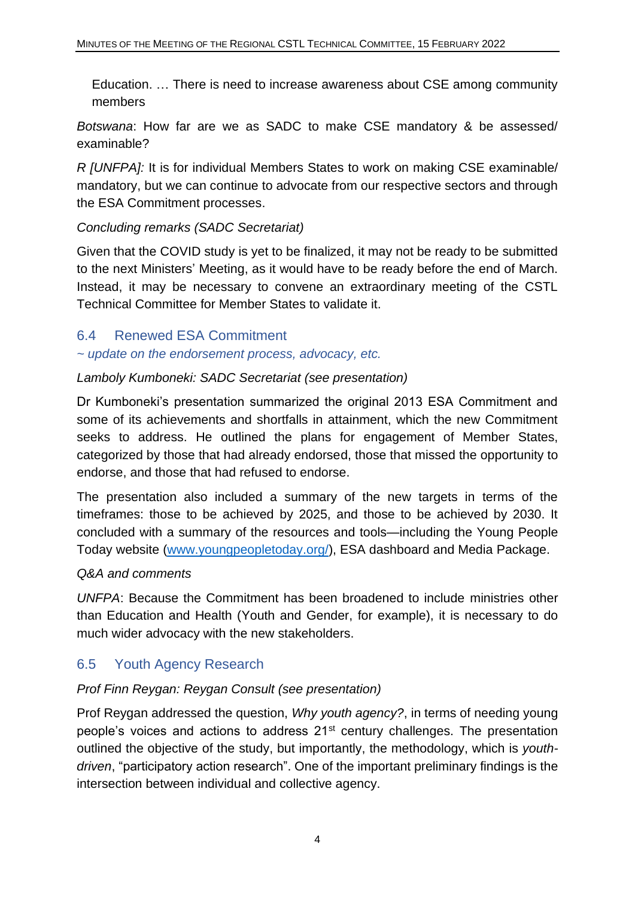Education. … There is need to increase awareness about CSE among community members

*Botswana*: How far are we as SADC to make CSE mandatory & be assessed/ examinable?

*R [UNFPA]:* It is for individual Members States to work on making CSE examinable/ mandatory, but we can continue to advocate from our respective sectors and through the ESA Commitment processes.

#### *Concluding remarks (SADC Secretariat)*

Given that the COVID study is yet to be finalized, it may not be ready to be submitted to the next Ministers' Meeting, as it would have to be ready before the end of March. Instead, it may be necessary to convene an extraordinary meeting of the CSTL Technical Committee for Member States to validate it.

#### <span id="page-6-0"></span>6.4 Renewed ESA Commitment

*~ update on the endorsement process, advocacy, etc.*

#### *Lamboly Kumboneki: SADC Secretariat (see presentation)*

Dr Kumboneki's presentation summarized the original 2013 ESA Commitment and some of its achievements and shortfalls in attainment, which the new Commitment seeks to address. He outlined the plans for engagement of Member States, categorized by those that had already endorsed, those that missed the opportunity to endorse, and those that had refused to endorse.

The presentation also included a summary of the new targets in terms of the timeframes: those to be achieved by 2025, and those to be achieved by 2030. It concluded with a summary of the resources and tools—including the Young People Today website [\(www.youngpeopletoday.org/\)](http://www.youngpeopletoday.org/), ESA dashboard and Media Package.

#### *Q&A and comments*

*UNFPA*: Because the Commitment has been broadened to include ministries other than Education and Health (Youth and Gender, for example), it is necessary to do much wider advocacy with the new stakeholders.

## <span id="page-6-1"></span>6.5 Youth Agency Research

#### *Prof Finn Reygan: Reygan Consult (see presentation)*

Prof Reygan addressed the question, *Why youth agency?*, in terms of needing young people's voices and actions to address 21st century challenges. The presentation outlined the objective of the study, but importantly, the methodology, which is *youthdriven*, "participatory action research". One of the important preliminary findings is the intersection between individual and collective agency.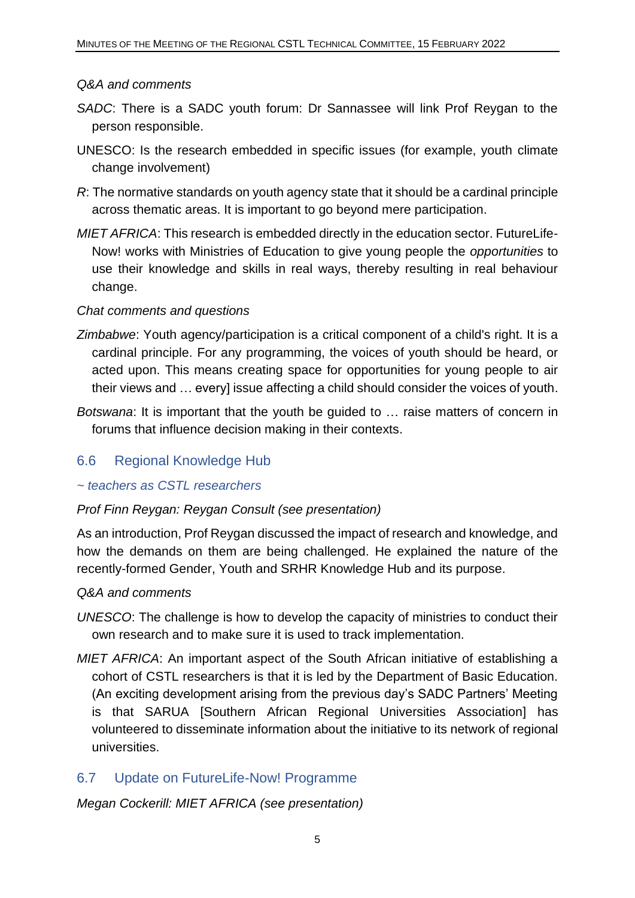#### *Q&A and comments*

- *SADC*: There is a SADC youth forum: Dr Sannassee will link Prof Reygan to the person responsible.
- UNESCO: Is the research embedded in specific issues (for example, youth climate change involvement)
- *R*: The normative standards on youth agency state that it should be a cardinal principle across thematic areas. It is important to go beyond mere participation.
- *MIET AFRICA*: This research is embedded directly in the education sector. FutureLife-Now! works with Ministries of Education to give young people the *opportunities* to use their knowledge and skills in real ways, thereby resulting in real behaviour change.

#### *Chat comments and questions*

- *Zimbabwe*: Youth agency/participation is a critical component of a child's right. It is a cardinal principle. For any programming, the voices of youth should be heard, or acted upon. This means creating space for opportunities for young people to air their views and … every] issue affecting a child should consider the voices of youth.
- *Botswana*: It is important that the youth be guided to … raise matters of concern in forums that influence decision making in their contexts.

#### <span id="page-7-0"></span>6.6 Regional Knowledge Hub

#### *~ teachers as CSTL researchers*

#### *Prof Finn Reygan: Reygan Consult (see presentation)*

As an introduction, Prof Reygan discussed the impact of research and knowledge, and how the demands on them are being challenged. He explained the nature of the recently-formed Gender, Youth and SRHR Knowledge Hub and its purpose.

#### *Q&A and comments*

- *UNESCO*: The challenge is how to develop the capacity of ministries to conduct their own research and to make sure it is used to track implementation.
- *MIET AFRICA*: An important aspect of the South African initiative of establishing a cohort of CSTL researchers is that it is led by the Department of Basic Education. (An exciting development arising from the previous day's SADC Partners' Meeting is that SARUA [Southern African Regional Universities Association] has volunteered to disseminate information about the initiative to its network of regional universities.

#### <span id="page-7-1"></span>6.7 Update on FutureLife-Now! Programme

*Megan Cockerill: MIET AFRICA (see presentation)*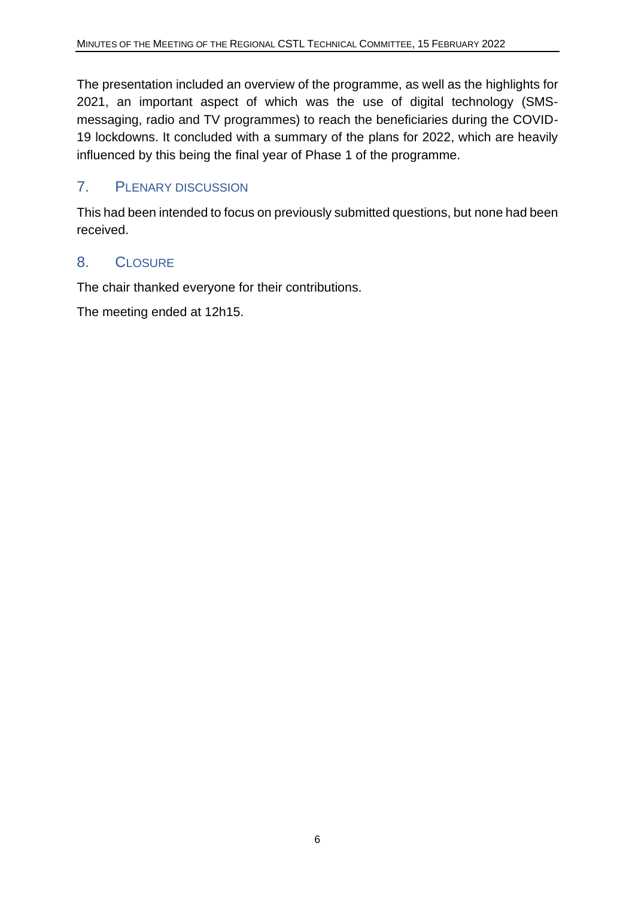The presentation included an overview of the programme, as well as the highlights for 2021, an important aspect of which was the use of digital technology (SMSmessaging, radio and TV programmes) to reach the beneficiaries during the COVID-19 lockdowns. It concluded with a summary of the plans for 2022, which are heavily influenced by this being the final year of Phase 1 of the programme.

### <span id="page-8-0"></span>7. PLENARY DISCUSSION

This had been intended to focus on previously submitted questions, but none had been received.

#### <span id="page-8-1"></span>8. CLOSURE

The chair thanked everyone for their contributions.

The meeting ended at 12h15.